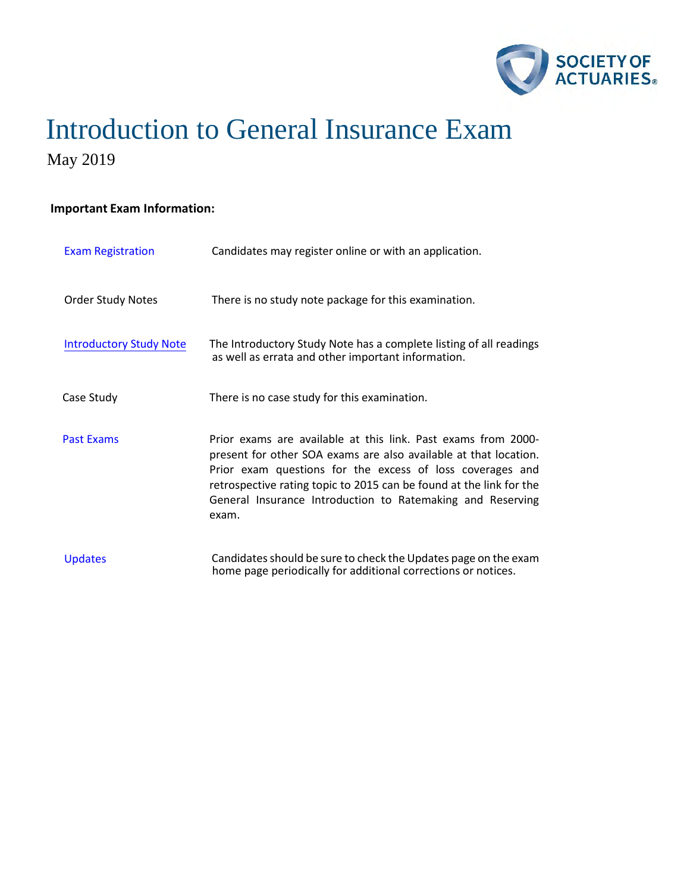

### **Important Exam Information:**

| <b>Exam Registration</b>       | Candidates may register online or with an application.                                                                                                                                                                                                                                                                                       |
|--------------------------------|----------------------------------------------------------------------------------------------------------------------------------------------------------------------------------------------------------------------------------------------------------------------------------------------------------------------------------------------|
| <b>Order Study Notes</b>       | There is no study note package for this examination.                                                                                                                                                                                                                                                                                         |
| <b>Introductory Study Note</b> | The Introductory Study Note has a complete listing of all readings<br>as well as errata and other important information.                                                                                                                                                                                                                     |
| Case Study                     | There is no case study for this examination.                                                                                                                                                                                                                                                                                                 |
| <b>Past Exams</b>              | Prior exams are available at this link. Past exams from 2000-<br>present for other SOA exams are also available at that location.<br>Prior exam questions for the excess of loss coverages and<br>retrospective rating topic to 2015 can be found at the link for the<br>General Insurance Introduction to Ratemaking and Reserving<br>exam. |
| <b>Updates</b>                 | Candidates should be sure to check the Updates page on the exam<br>home page periodically for additional corrections or notices.                                                                                                                                                                                                             |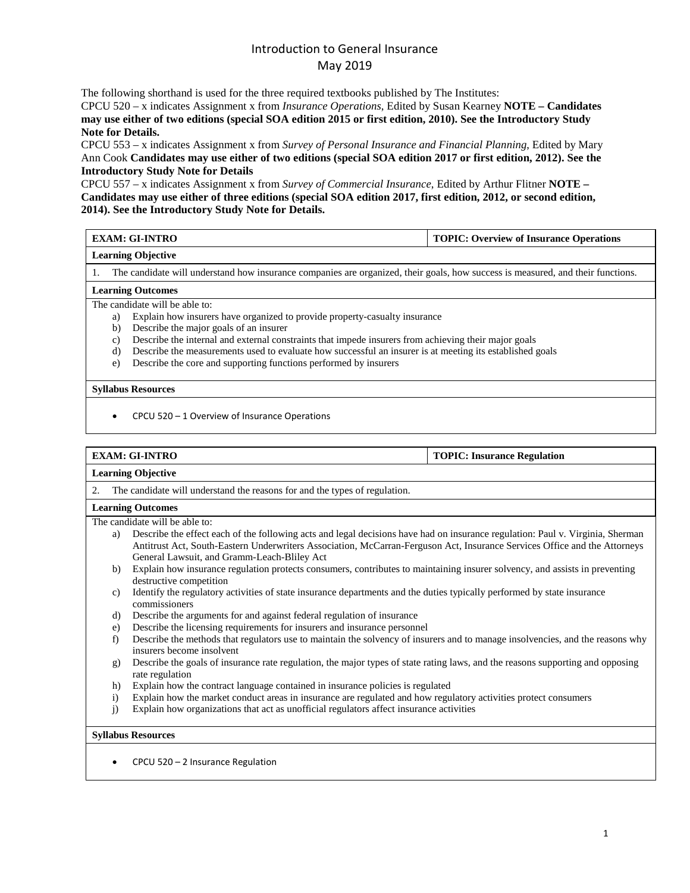The following shorthand is used for the three required textbooks published by The Institutes:

CPCU 520 – x indicates Assignment x from *Insurance Operations*, Edited by Susan Kearney **NOTE – Candidates may use either of two editions (special SOA edition 2015 or first edition, 2010). See the Introductory Study Note for Details.**

CPCU 553 – x indicates Assignment x from *Survey of Personal Insurance and Financial Planning*, Edited by Mary Ann Cook **Candidates may use either of two editions (special SOA edition 2017 or first edition, 2012). See the Introductory Study Note for Details**

CPCU 557 – x indicates Assignment x from *Survey of Commercial Insurance*, Edited by Arthur Flitner **NOTE – Candidates may use either of three editions (special SOA edition 2017, first edition, 2012, or second edition, 2014). See the Introductory Study Note for Details.** 

| EXAM: GI-INTRO            | TOPIC: Overview of Insurance Operations |
|---------------------------|-----------------------------------------|
| <b>Learning Objective</b> |                                         |

1. The candidate will understand how insurance companies are organized, their goals, how success is measured, and their functions.

#### **Learning Outcomes**

The candidate will be able to:

- a) Explain how insurers have organized to provide property-casualty insurance
- b) Describe the major goals of an insurer
- c) Describe the internal and external constraints that impede insurers from achieving their major goals
- d) Describe the measurements used to evaluate how successful an insurer is at meeting its established goals
- e) Describe the core and supporting functions performed by insurers

### **Syllabus Resources**

• CPCU 520 – 1 Overview of Insurance Operations

#### **EXAM: GI-INTRO TOPIC: Insurance Regulation**

### **Learning Objective**

2. The candidate will understand the reasons for and the types of regulation.

### **Learning Outcomes**

The candidate will be able to:

- a) Describe the effect each of the following acts and legal decisions have had on insurance regulation: Paul v. Virginia, Sherman Antitrust Act, South-Eastern Underwriters Association, McCarran-Ferguson Act, Insurance Services Office and the Attorneys General Lawsuit, and Gramm-Leach-Bliley Act
- b) Explain how insurance regulation protects consumers, contributes to maintaining insurer solvency, and assists in preventing destructive competition
- c) Identify the regulatory activities of state insurance departments and the duties typically performed by state insurance commissioners
- d) Describe the arguments for and against federal regulation of insurance
- e) Describe the licensing requirements for insurers and insurance personnel
- f) Describe the methods that regulators use to maintain the solvency of insurers and to manage insolvencies, and the reasons why insurers become insolvent
- g) Describe the goals of insurance rate regulation, the major types of state rating laws, and the reasons supporting and opposing rate regulation
- h) Explain how the contract language contained in insurance policies is regulated
- i) Explain how the market conduct areas in insurance are regulated and how regulatory activities protect consumers
- j) Explain how organizations that act as unofficial regulators affect insurance activities

#### **Syllabus Resources**

• CPCU 520 – 2 Insurance Regulation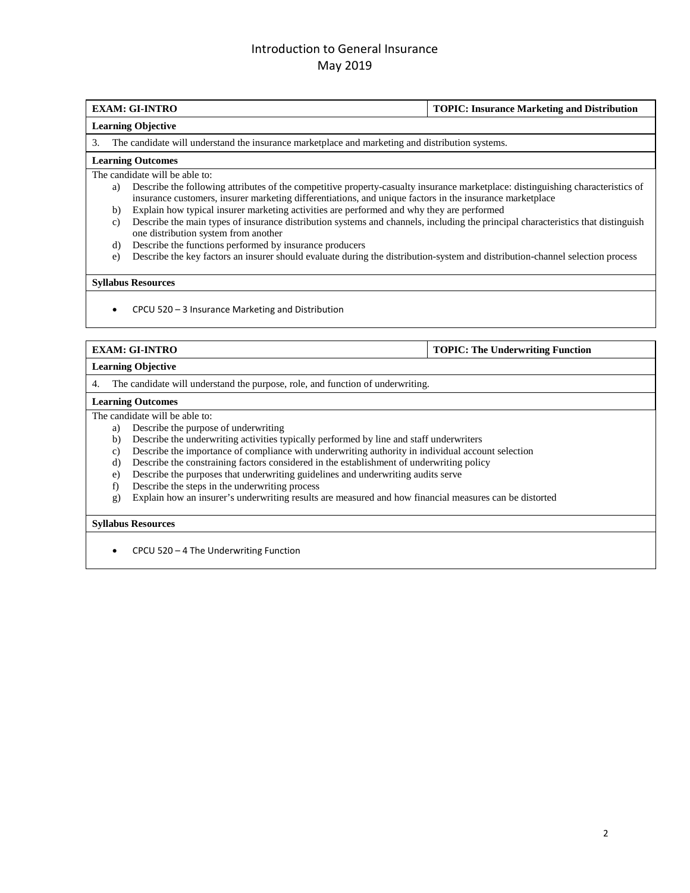### **EXAM: GI-INTRO TOPIC: Insurance Marketing and Distribution**

### **Learning Objective**

3. The candidate will understand the insurance marketplace and marketing and distribution systems.

#### **Learning Outcomes**

The candidate will be able to:

- a) Describe the following attributes of the competitive property-casualty insurance marketplace: distinguishing characteristics of insurance customers, insurer marketing differentiations, and unique factors in the insurance marketplace
- b) Explain how typical insurer marketing activities are performed and why they are performed
- c) Describe the main types of insurance distribution systems and channels, including the principal characteristics that distinguish one distribution system from another
- d) Describe the functions performed by insurance producers
- e) Describe the key factors an insurer should evaluate during the distribution-system and distribution-channel selection process

### **Syllabus Resources**

• CPCU 520 – 3 Insurance Marketing and Distribution

### **EXAM: GI-INTRO TOPIC: The Underwriting Function**

**Learning Objective**

4. The candidate will understand the purpose, role, and function of underwriting.

#### **Learning Outcomes**

The candidate will be able to:

- a) Describe the purpose of underwriting
- b) Describe the underwriting activities typically performed by line and staff underwriters
- c) Describe the importance of compliance with underwriting authority in individual account selection
- d) Describe the constraining factors considered in the establishment of underwriting policy
- e) Describe the purposes that underwriting guidelines and underwriting audits serve
- f) Describe the steps in the underwriting process
- g) Explain how an insurer's underwriting results are measured and how financial measures can be distorted

#### **Syllabus Resources**

• CPCU 520 – 4 The Underwriting Function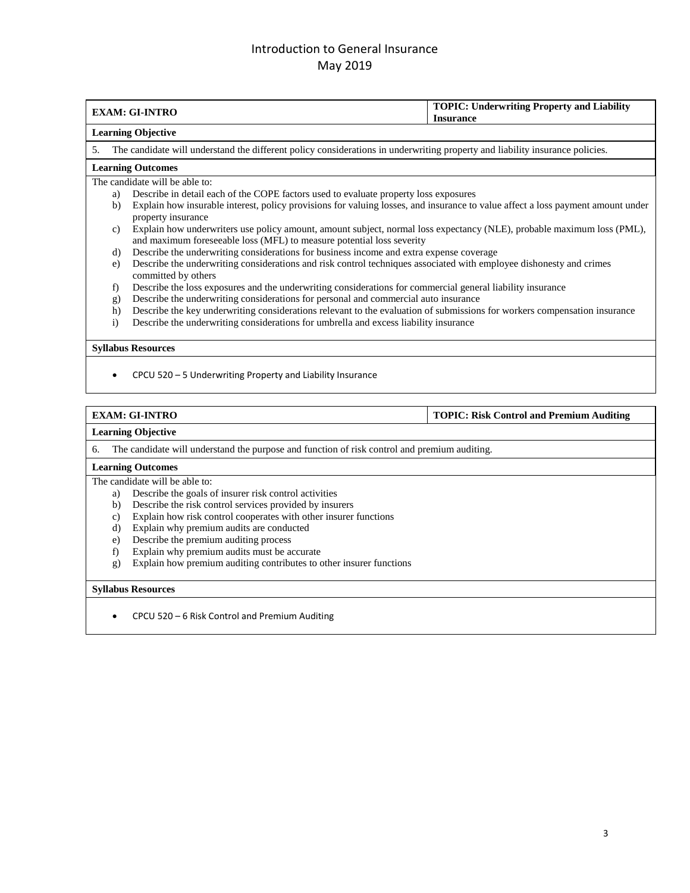|                           | <b>EXAM: GI-INTRO</b>                                                                                                                                                                           | <b>TOPIC: Underwriting Property and Liability</b><br><b>Insurance</b> |  |
|---------------------------|-------------------------------------------------------------------------------------------------------------------------------------------------------------------------------------------------|-----------------------------------------------------------------------|--|
|                           | <b>Learning Objective</b>                                                                                                                                                                       |                                                                       |  |
| 5.                        | The candidate will understand the different policy considerations in underwriting property and liability insurance policies.                                                                    |                                                                       |  |
|                           | <b>Learning Outcomes</b>                                                                                                                                                                        |                                                                       |  |
|                           | The candidate will be able to:                                                                                                                                                                  |                                                                       |  |
| a)                        | Describe in detail each of the COPE factors used to evaluate property loss exposures                                                                                                            |                                                                       |  |
| $\mathbf{b}$              | Explain how insurable interest, policy provisions for valuing losses, and insurance to value affect a loss payment amount under<br>property insurance                                           |                                                                       |  |
| c)                        | Explain how underwriters use policy amount, amount subject, normal loss expectancy (NLE), probable maximum loss (PML),<br>and maximum foreseeable loss (MFL) to measure potential loss severity |                                                                       |  |
| d)                        | Describe the underwriting considerations for business income and extra expense coverage                                                                                                         |                                                                       |  |
| e)                        | Describe the underwriting considerations and risk control techniques associated with employee dishonesty and crimes<br>committed by others                                                      |                                                                       |  |
| f)                        | Describe the loss exposures and the underwriting considerations for commercial general liability insurance                                                                                      |                                                                       |  |
| g)                        | Describe the underwriting considerations for personal and commercial auto insurance                                                                                                             |                                                                       |  |
| h)                        | Describe the key underwriting considerations relevant to the evaluation of submissions for workers compensation insurance                                                                       |                                                                       |  |
| $\mathbf{i}$              | Describe the underwriting considerations for umbrella and excess liability insurance                                                                                                            |                                                                       |  |
| <b>Syllabus Resources</b> |                                                                                                                                                                                                 |                                                                       |  |
|                           | CPCU 520 – 5 Underwriting Property and Liability Insurance                                                                                                                                      |                                                                       |  |

## **EXAM: GI-INTRO TOPIC: Risk Control and Premium Auditing**

### **Learning Objective**

6. The candidate will understand the purpose and function of risk control and premium auditing.

### **Learning Outcomes**

The candidate will be able to:

- a) Describe the goals of insurer risk control activities
- b) Describe the risk control services provided by insurers
- c) Explain how risk control cooperates with other insurer functions
- d) Explain why premium audits are conducted<br>e) Describe the premium auditing process
- 
- e) Describe the premium auditing process<br>f) Explain why premium audits must be a Explain why premium audits must be accurate
- g) Explain how premium auditing contributes to other insurer functions

#### **Syllabus Resources**

• CPCU 520 – 6 Risk Control and Premium Auditing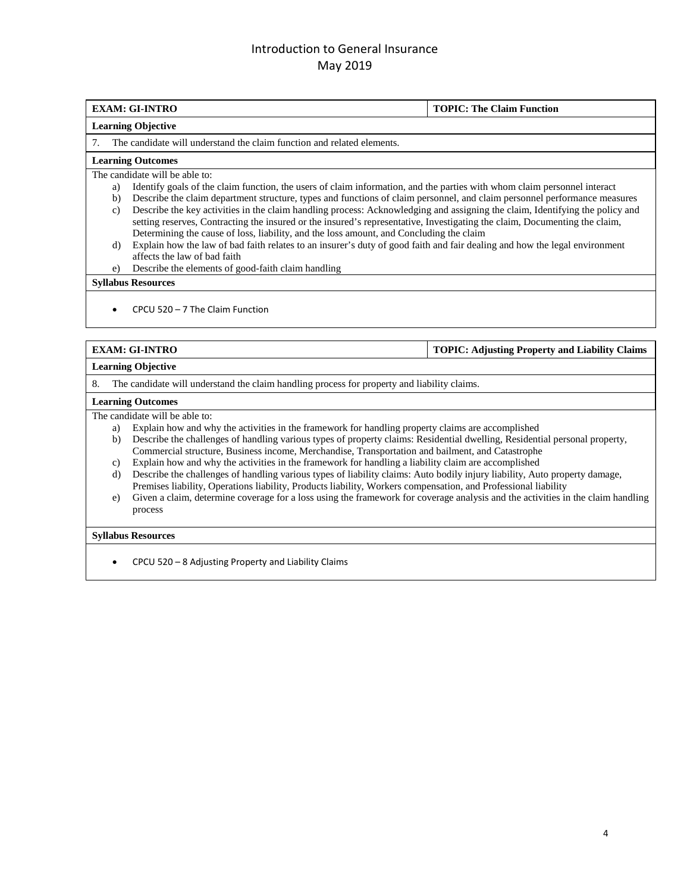### **EXAM: GI-INTRO TOPIC: The Claim Function**

#### **Learning Objective**

7. The candidate will understand the claim function and related elements.

#### **Learning Outcomes**

The candidate will be able to:

- a) Identify goals of the claim function, the users of claim information, and the parties with whom claim personnel interact
- b) Describe the claim department structure, types and functions of claim personnel, and claim personnel performance measures c) Describe the key activities in the claim handling process: Acknowledging and assigning the claim, Identifying the policy and setting reserves, Contracting the insured or the insured's representative, Investigating the claim, Documenting the claim, Determining the cause of loss, liability, and the loss amount, and Concluding the claim
- d) Explain how the law of bad faith relates to an insurer's duty of good faith and fair dealing and how the legal environment affects the law of bad faith
- e) Describe the elements of good-faith claim handling

### **Syllabus Resources**

• CPCU 520 – 7 The Claim Function

**EXAM: GI-INTRO TOPIC: Adjusting Property and Liability Claims**

#### **Learning Objective**

8. The candidate will understand the claim handling process for property and liability claims.

#### **Learning Outcomes**

The candidate will be able to:

- a) Explain how and why the activities in the framework for handling property claims are accomplished
- b) Describe the challenges of handling various types of property claims: Residential dwelling, Residential personal property, Commercial structure, Business income, Merchandise, Transportation and bailment, and Catastrophe
- c) Explain how and why the activities in the framework for handling a liability claim are accomplished
- d) Describe the challenges of handling various types of liability claims: Auto bodily injury liability, Auto property damage, Premises liability, Operations liability, Products liability, Workers compensation, and Professional liability
- e) Given a claim, determine coverage for a loss using the framework for coverage analysis and the activities in the claim handling process

### **Syllabus Resources**

• CPCU 520 – 8 Adjusting Property and Liability Claims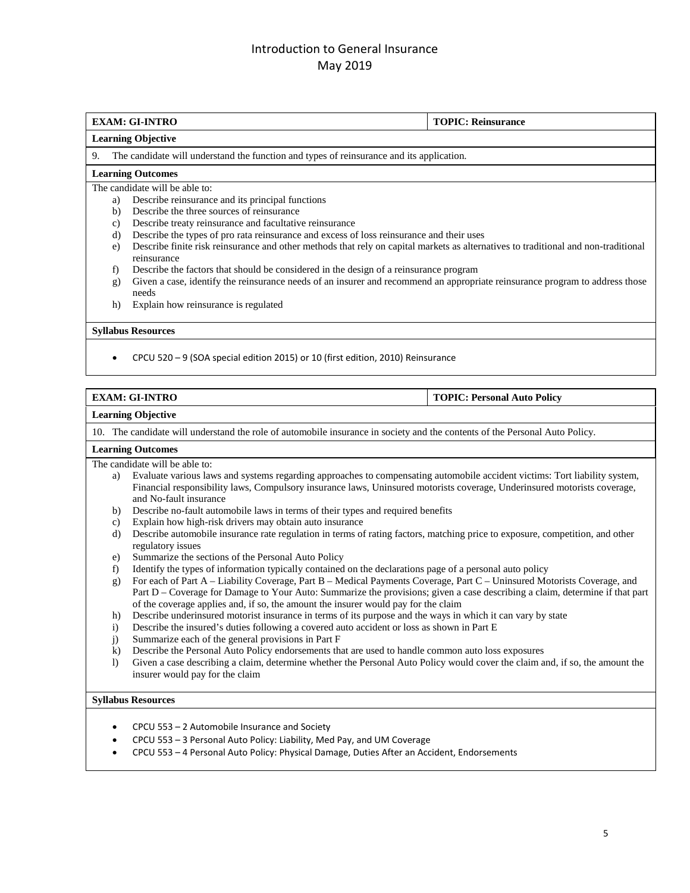### **EXAM: GI-INTRO TOPIC: Reinsurance Learning Objective** 9. The candidate will understand the function and types of reinsurance and its application. **Learning Outcomes**  The candidate will be able to: a) Describe reinsurance and its principal functions b) Describe the three sources of reinsurance c) Describe treaty reinsurance and facultative reinsurance d) Describe the types of pro rata reinsurance and excess of loss reinsurance and their uses e) Describe finite risk reinsurance and other methods that rely on capital markets as alternatives to traditional and non-traditional reinsurance f) Describe the factors that should be considered in the design of a reinsurance program g) Given a case, identify the reinsurance needs of an insurer and recommend an appropriate reinsurance program to address those needs h) Explain how reinsurance is regulated **Syllabus Resources**

• CPCU 520 – 9 (SOA special edition 2015) or 10 (first edition, 2010) Reinsurance

### **EXAM: GI-INTRO TOPIC: Personal Auto Policy**

**Learning Objective**

10. The candidate will understand the role of automobile insurance in society and the contents of the Personal Auto Policy.

### **Learning Outcomes**

The candidate will be able to:

- a) Evaluate various laws and systems regarding approaches to compensating automobile accident victims: Tort liability system, Financial responsibility laws, Compulsory insurance laws, Uninsured motorists coverage, Underinsured motorists coverage, and No-fault insurance
- b) Describe no-fault automobile laws in terms of their types and required benefits
- c) Explain how high-risk drivers may obtain auto insurance
- d) Describe automobile insurance rate regulation in terms of rating factors, matching price to exposure, competition, and other regulatory issues
- e) Summarize the sections of the Personal Auto Policy
- f) Identify the types of information typically contained on the declarations page of a personal auto policy
- g) For each of Part A Liability Coverage, Part B Medical Payments Coverage, Part C Uninsured Motorists Coverage, and Part D – Coverage for Damage to Your Auto: Summarize the provisions; given a case describing a claim, determine if that part of the coverage applies and, if so, the amount the insurer would pay for the claim
- h) Describe underinsured motorist insurance in terms of its purpose and the ways in which it can vary by state
- i) Describe the insured's duties following a covered auto accident or loss as shown in Part E
- j) Summarize each of the general provisions in Part F
- k) Describe the Personal Auto Policy endorsements that are used to handle common auto loss exposures
- l) Given a case describing a claim, determine whether the Personal Auto Policy would cover the claim and, if so, the amount the insurer would pay for the claim

### **Syllabus Resources**

- CPCU 553 2 Automobile Insurance and Society
- CPCU 553 3 Personal Auto Policy: Liability, Med Pay, and UM Coverage
- CPCU 553 4 Personal Auto Policy: Physical Damage, Duties After an Accident, Endorsements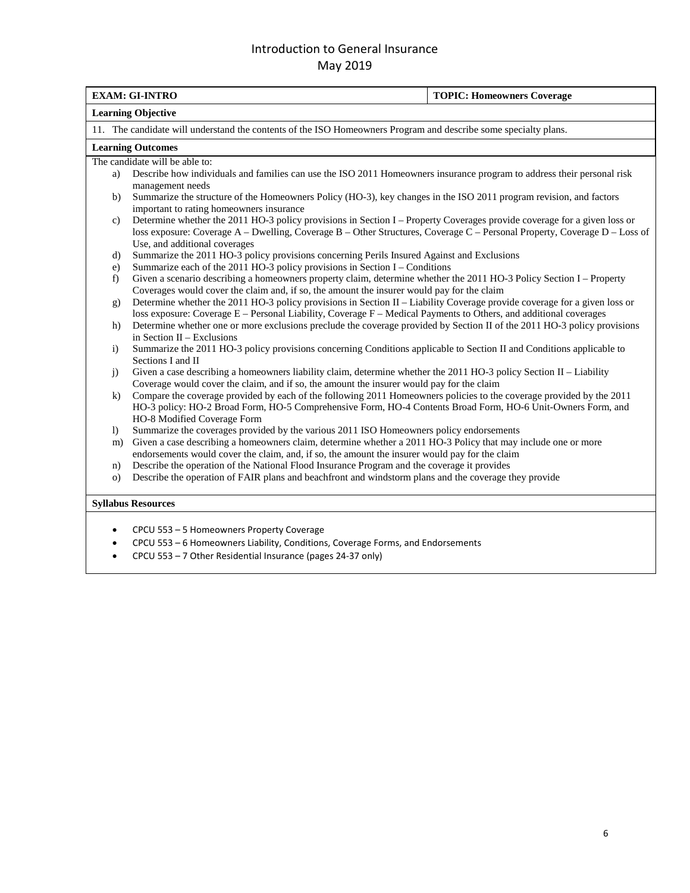|                  | <b>EXAM: GI-INTRO</b>                                                                                                                                                                                                                                                                  | <b>TOPIC: Homeowners Coverage</b> |
|------------------|----------------------------------------------------------------------------------------------------------------------------------------------------------------------------------------------------------------------------------------------------------------------------------------|-----------------------------------|
|                  | <b>Learning Objective</b>                                                                                                                                                                                                                                                              |                                   |
|                  | 11. The candidate will understand the contents of the ISO Homeowners Program and describe some specialty plans.                                                                                                                                                                        |                                   |
|                  | <b>Learning Outcomes</b>                                                                                                                                                                                                                                                               |                                   |
|                  | The candidate will be able to:                                                                                                                                                                                                                                                         |                                   |
| a)               | Describe how individuals and families can use the ISO 2011 Homeowners insurance program to address their personal risk<br>management needs                                                                                                                                             |                                   |
| b)               | Summarize the structure of the Homeowners Policy (HO-3), key changes in the ISO 2011 program revision, and factors<br>important to rating homeowners insurance                                                                                                                         |                                   |
| c)               | Determine whether the 2011 HO-3 policy provisions in Section I – Property Coverages provide coverage for a given loss or<br>loss exposure: Coverage A – Dwelling, Coverage B – Other Structures, Coverage C – Personal Property, Coverage D – Loss of<br>Use, and additional coverages |                                   |
| d)               | Summarize the 2011 HO-3 policy provisions concerning Perils Insured Against and Exclusions                                                                                                                                                                                             |                                   |
| e)               | Summarize each of the 2011 HO-3 policy provisions in Section I - Conditions                                                                                                                                                                                                            |                                   |
| f)               | Given a scenario describing a homeowners property claim, determine whether the 2011 HO-3 Policy Section I – Property<br>Coverages would cover the claim and, if so, the amount the insurer would pay for the claim                                                                     |                                   |
| g)               | Determine whether the 2011 HO-3 policy provisions in Section II – Liability Coverage provide coverage for a given loss or<br>loss exposure: Coverage E - Personal Liability, Coverage F - Medical Payments to Others, and additional coverages                                         |                                   |
| h)               | Determine whether one or more exclusions preclude the coverage provided by Section II of the 2011 HO-3 policy provisions<br>in Section II $-$ Exclusions                                                                                                                               |                                   |
| $\mathbf{i}$     | Summarize the 2011 HO-3 policy provisions concerning Conditions applicable to Section II and Conditions applicable to<br>Sections I and II                                                                                                                                             |                                   |
| j)               | Given a case describing a homeowners liability claim, determine whether the 2011 HO-3 policy Section II - Liability<br>Coverage would cover the claim, and if so, the amount the insurer would pay for the claim                                                                       |                                   |
| k)               | Compare the coverage provided by each of the following 2011 Homeowners policies to the coverage provided by the 2011<br>HO-3 policy: HO-2 Broad Form, HO-5 Comprehensive Form, HO-4 Contents Broad Form, HO-6 Unit-Owners Form, and<br>HO-8 Modified Coverage Form                     |                                   |
| $\left  \right $ | Summarize the coverages provided by the various 2011 ISO Homeowners policy endorsements                                                                                                                                                                                                |                                   |
| m)               | Given a case describing a homeowners claim, determine whether a 2011 HO-3 Policy that may include one or more<br>endorsements would cover the claim, and, if so, the amount the insurer would pay for the claim                                                                        |                                   |
| n)               | Describe the operation of the National Flood Insurance Program and the coverage it provides                                                                                                                                                                                            |                                   |
| $\circ$ )        | Describe the operation of FAIR plans and beachfront and windstorm plans and the coverage they provide                                                                                                                                                                                  |                                   |
|                  | <b>Syllabus Resources</b>                                                                                                                                                                                                                                                              |                                   |
|                  | CPCU 553 - 5 Homeowners Property Coverage                                                                                                                                                                                                                                              |                                   |
|                  | CPCU 553 - 6 Homeowners Liability, Conditions, Coverage Forms, and Endorsements                                                                                                                                                                                                        |                                   |
|                  |                                                                                                                                                                                                                                                                                        |                                   |

• CPCU 553 – 7 Other Residential Insurance (pages 24-37 only)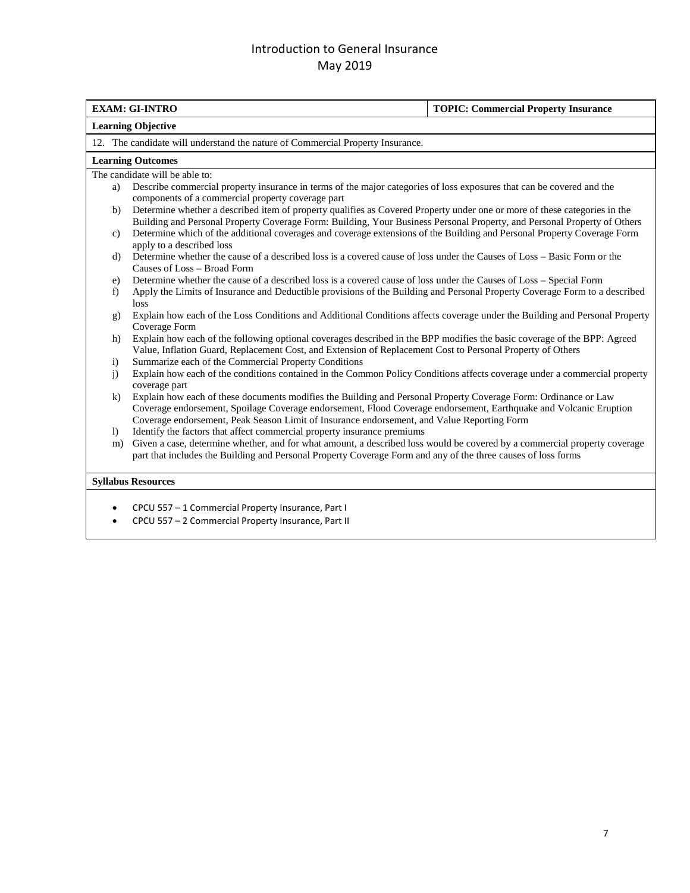|                                                                                | <b>EXAM: GI-INTRO</b><br><b>TOPIC: Commercial Property Insurance</b>                                                                                                                                                                                                                                                               |  |  |
|--------------------------------------------------------------------------------|------------------------------------------------------------------------------------------------------------------------------------------------------------------------------------------------------------------------------------------------------------------------------------------------------------------------------------|--|--|
| <b>Learning Objective</b>                                                      |                                                                                                                                                                                                                                                                                                                                    |  |  |
| 12. The candidate will understand the nature of Commercial Property Insurance. |                                                                                                                                                                                                                                                                                                                                    |  |  |
|                                                                                | <b>Learning Outcomes</b>                                                                                                                                                                                                                                                                                                           |  |  |
|                                                                                | The candidate will be able to:                                                                                                                                                                                                                                                                                                     |  |  |
| a)                                                                             | Describe commercial property insurance in terms of the major categories of loss exposures that can be covered and the<br>components of a commercial property coverage part                                                                                                                                                         |  |  |
| b)                                                                             | Determine whether a described item of property qualifies as Covered Property under one or more of these categories in the<br>Building and Personal Property Coverage Form: Building, Your Business Personal Property, and Personal Property of Others                                                                              |  |  |
| $\mathbf{c}$                                                                   | Determine which of the additional coverages and coverage extensions of the Building and Personal Property Coverage Form<br>apply to a described loss                                                                                                                                                                               |  |  |
| d)                                                                             | Determine whether the cause of a described loss is a covered cause of loss under the Causes of Loss – Basic Form or the<br>Causes of Loss - Broad Form                                                                                                                                                                             |  |  |
| e)                                                                             | Determine whether the cause of a described loss is a covered cause of loss under the Causes of Loss – Special Form                                                                                                                                                                                                                 |  |  |
| f)                                                                             | Apply the Limits of Insurance and Deductible provisions of the Building and Personal Property Coverage Form to a described<br>loss                                                                                                                                                                                                 |  |  |
| g)                                                                             | Explain how each of the Loss Conditions and Additional Conditions affects coverage under the Building and Personal Property<br>Coverage Form                                                                                                                                                                                       |  |  |
| h)                                                                             | Explain how each of the following optional coverages described in the BPP modifies the basic coverage of the BPP: Agreed<br>Value, Inflation Guard, Replacement Cost, and Extension of Replacement Cost to Personal Property of Others                                                                                             |  |  |
| $\mathbf{i}$                                                                   | Summarize each of the Commercial Property Conditions                                                                                                                                                                                                                                                                               |  |  |
| j)                                                                             | Explain how each of the conditions contained in the Common Policy Conditions affects coverage under a commercial property<br>coverage part                                                                                                                                                                                         |  |  |
| $\bf k$                                                                        | Explain how each of these documents modifies the Building and Personal Property Coverage Form: Ordinance or Law<br>Coverage endorsement, Spoilage Coverage endorsement, Flood Coverage endorsement, Earthquake and Volcanic Eruption<br>Coverage endorsement, Peak Season Limit of Insurance endorsement, and Value Reporting Form |  |  |
| $\bf{I}$                                                                       | Identify the factors that affect commercial property insurance premiums                                                                                                                                                                                                                                                            |  |  |
| m)                                                                             | Given a case, determine whether, and for what amount, a described loss would be covered by a commercial property coverage<br>part that includes the Building and Personal Property Coverage Form and any of the three causes of loss forms                                                                                         |  |  |
|                                                                                | <b>Syllabus Resources</b>                                                                                                                                                                                                                                                                                                          |  |  |
|                                                                                | CPCU 557 - 1 Commercial Property Insurance, Part I                                                                                                                                                                                                                                                                                 |  |  |

• CPCU 557 – 2 Commercial Property Insurance, Part II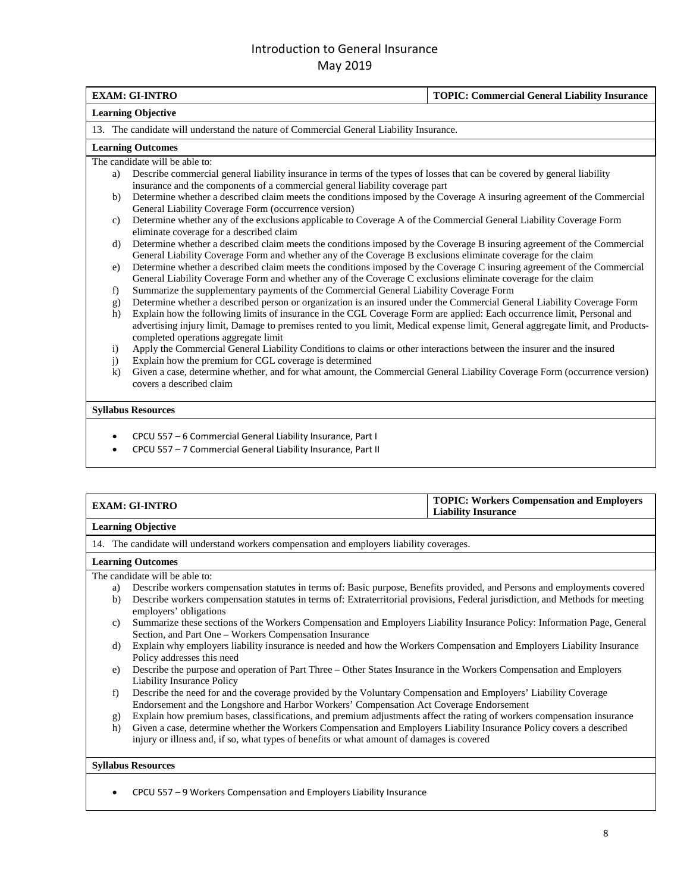|                           | <b>EXAM: GI-INTRO</b>                                                                                                                                                   | <b>TOPIC: Commercial General Liability Insurance</b> |  |
|---------------------------|-------------------------------------------------------------------------------------------------------------------------------------------------------------------------|------------------------------------------------------|--|
|                           | <b>Learning Objective</b>                                                                                                                                               |                                                      |  |
|                           | 13. The candidate will understand the nature of Commercial General Liability Insurance.                                                                                 |                                                      |  |
|                           | <b>Learning Outcomes</b>                                                                                                                                                |                                                      |  |
|                           | The candidate will be able to:                                                                                                                                          |                                                      |  |
| a)                        | Describe commercial general liability insurance in terms of the types of losses that can be covered by general liability                                                |                                                      |  |
|                           | insurance and the components of a commercial general liability coverage part                                                                                            |                                                      |  |
| b)                        | Determine whether a described claim meets the conditions imposed by the Coverage A insuring agreement of the Commercial                                                 |                                                      |  |
|                           | General Liability Coverage Form (occurrence version)                                                                                                                    |                                                      |  |
| c)                        | Determine whether any of the exclusions applicable to Coverage A of the Commercial General Liability Coverage Form                                                      |                                                      |  |
|                           | eliminate coverage for a described claim                                                                                                                                |                                                      |  |
| d)                        | Determine whether a described claim meets the conditions imposed by the Coverage B insuring agreement of the Commercial                                                 |                                                      |  |
|                           | General Liability Coverage Form and whether any of the Coverage B exclusions eliminate coverage for the claim                                                           |                                                      |  |
| e)                        | Determine whether a described claim meets the conditions imposed by the Coverage C insuring agreement of the Commercial                                                 |                                                      |  |
|                           | General Liability Coverage Form and whether any of the Coverage C exclusions eliminate coverage for the claim                                                           |                                                      |  |
| f)                        | Summarize the supplementary payments of the Commercial General Liability Coverage Form                                                                                  |                                                      |  |
| g)                        | Determine whether a described person or organization is an insured under the Commercial General Liability Coverage Form                                                 |                                                      |  |
| h)                        | Explain how the following limits of insurance in the CGL Coverage Form are applied: Each occurrence limit, Personal and                                                 |                                                      |  |
|                           | advertising injury limit, Damage to premises rented to you limit, Medical expense limit, General aggregate limit, and Products-<br>completed operations aggregate limit |                                                      |  |
| $\mathbf{i}$              | Apply the Commercial General Liability Conditions to claims or other interactions between the insurer and the insured                                                   |                                                      |  |
| j)                        | Explain how the premium for CGL coverage is determined                                                                                                                  |                                                      |  |
| $\bf k$                   | Given a case, determine whether, and for what amount, the Commercial General Liability Coverage Form (occurrence version)<br>covers a described claim                   |                                                      |  |
| <b>Syllabus Resources</b> |                                                                                                                                                                         |                                                      |  |
|                           | CPCU 557 - 6 Commercial General Liability Insurance, Part I                                                                                                             |                                                      |  |
|                           | CPCU 557 - 7 Commercial General Liability Insurance, Part II                                                                                                            |                                                      |  |
|                           |                                                                                                                                                                         |                                                      |  |

| <b>EXAM: GI-INTRO</b>     | <b>TOPIC: Workers Compensation and Employers</b><br><b>Liability Insurance</b> |
|---------------------------|--------------------------------------------------------------------------------|
| <b>Learning Objective</b> |                                                                                |

### 14. The candidate will understand workers compensation and employers liability coverages.

#### **Learning Outcomes**

The candidate will be able to:

- a) Describe workers compensation statutes in terms of: Basic purpose, Benefits provided, and Persons and employments covered
- b) Describe workers compensation statutes in terms of: Extraterritorial provisions, Federal jurisdiction, and Methods for meeting employers' obligations
- c) Summarize these sections of the Workers Compensation and Employers Liability Insurance Policy: Information Page, General Section, and Part One – Workers Compensation Insurance
- d) Explain why employers liability insurance is needed and how the Workers Compensation and Employers Liability Insurance Policy addresses this need
- e) Describe the purpose and operation of Part Three Other States Insurance in the Workers Compensation and Employers Liability Insurance Policy
- f) Describe the need for and the coverage provided by the Voluntary Compensation and Employers' Liability Coverage Endorsement and the Longshore and Harbor Workers' Compensation Act Coverage Endorsement
- g) Explain how premium bases, classifications, and premium adjustments affect the rating of workers compensation insurance
- h) Given a case, determine whether the Workers Compensation and Employers Liability Insurance Policy covers a described injury or illness and, if so, what types of benefits or what amount of damages is covered

### **Syllabus Resources**

• CPCU 557 – 9 Workers Compensation and Employers Liability Insurance